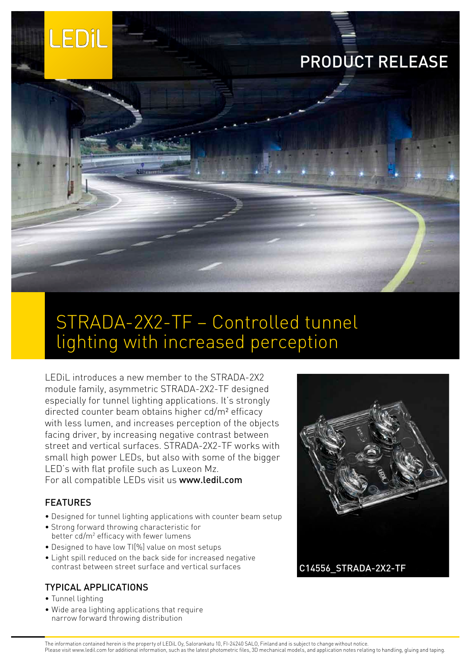

# STRADA-2X2-TF – Controlled tunnel lighting with increased perception

LEDiL introduces a new member to the STRADA-2X2 module family, asymmetric STRADA-2X2-TF designed especially for tunnel lighting applications. It's strongly directed counter beam obtains higher cd/m² efficacy with less lumen, and increases perception of the objects facing driver, by increasing negative contrast between street and vertical surfaces. STRADA-2X2-TF works with small high power LEDs, but also with some of the bigger LED's with flat profile such as Luxeon Mz. For all compatible LEDs visit us [www.ledil.com](http://www.ledil.com)

### FEATURES

- Designed for tunnel lighting applications with counter beam setup
- Strong forward throwing characteristic for better cd/m<sup>2</sup> efficacy with fewer lumens
- Designed to have low TI[%] value on most setups
- Light spill reduced on the back side for increased negative contrast between street surface and vertical surfaces

## TYPICAL APPLICATIONS

- Tunnel lighting
- Wide area lighting applications that require narrow forward throwing distribution



The information contained herein is the property of LEDiL Oy, Salorankatu 10, FI-24240 SALO, Finland and is subject to change without notice. Please visit www.ledil.com for additional information, such as the latest photometric files, 3D mechanical models, and application notes relating to handling, gluing and taping.